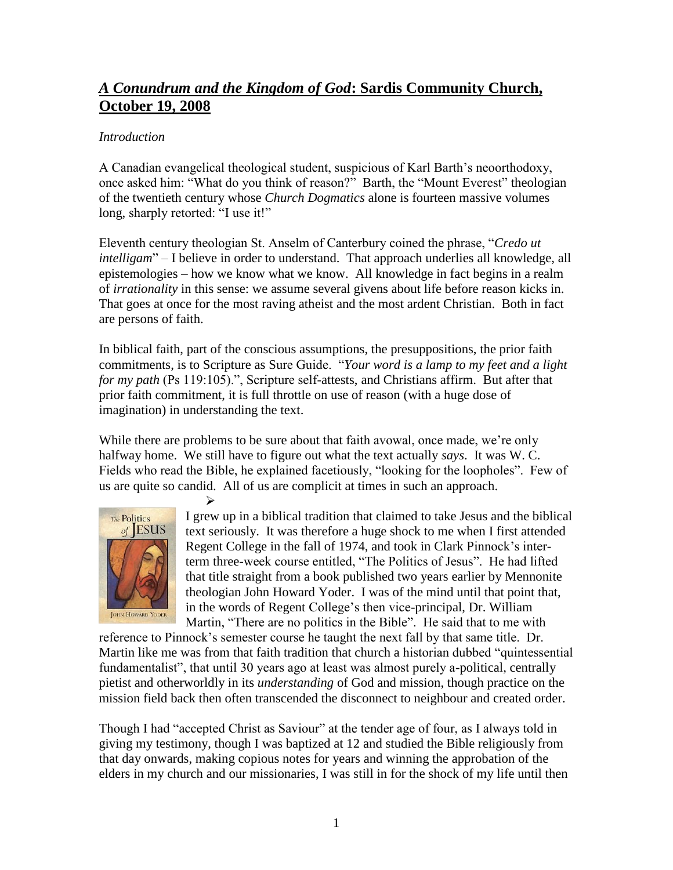# *A Conundrum and the Kingdom of God***: Sardis Community Church, October 19, 2008**

## *Introduction*

A Canadian evangelical theological student, suspicious of Karl Barth's neoorthodoxy, once asked him: "What do you think of reason?" Barth, the "Mount Everest" theologian of the twentieth century whose *Church Dogmatics* alone is fourteen massive volumes long, sharply retorted: "I use it!"

Eleventh century theologian St. Anselm of Canterbury coined the phrase, "*Credo ut intelligam*" – I believe in order to understand. That approach underlies all knowledge, all epistemologies – how we know what we know. All knowledge in fact begins in a realm of *irrationality* in this sense: we assume several givens about life before reason kicks in. That goes at once for the most raving atheist and the most ardent Christian. Both in fact are persons of faith.

In biblical faith, part of the conscious assumptions, the presuppositions, the prior faith commitments, is to Scripture as Sure Guide. "*Your word is a lamp to my feet and a light for my path* (Ps 119:105).", Scripture self-attests, and Christians affirm. But after that prior faith commitment, it is full throttle on use of reason (with a huge dose of imagination) in understanding the text.

While there are problems to be sure about that faith avowal, once made, we're only halfway home. We still have to figure out what the text actually *says*. It was W. C. Fields who read the Bible, he explained facetiously, "looking for the loopholes". Few of us are quite so candid. All of us are complicit at times in such an approach.



 $\blacktriangleright$ I grew up in a biblical tradition that claimed to take Jesus and the biblical text seriously. It was therefore a huge shock to me when I first attended Regent College in the fall of 1974, and took in Clark Pinnock's interterm three-week course entitled, "The Politics of Jesus". He had lifted that title straight from a book published two years earlier by Mennonite theologian John Howard Yoder. I was of the mind until that point that, in the words of Regent College's then vice-principal, Dr. William Martin, "There are no politics in the Bible". He said that to me with

reference to Pinnock's semester course he taught the next fall by that same title. Dr. Martin like me was from that faith tradition that church a historian dubbed "quintessential fundamentalist", that until 30 years ago at least was almost purely a-political, centrally pietist and otherworldly in its *understanding* of God and mission, though practice on the mission field back then often transcended the disconnect to neighbour and created order.

Though I had "accepted Christ as Saviour" at the tender age of four, as I always told in giving my testimony, though I was baptized at 12 and studied the Bible religiously from that day onwards, making copious notes for years and winning the approbation of the elders in my church and our missionaries, I was still in for the shock of my life until then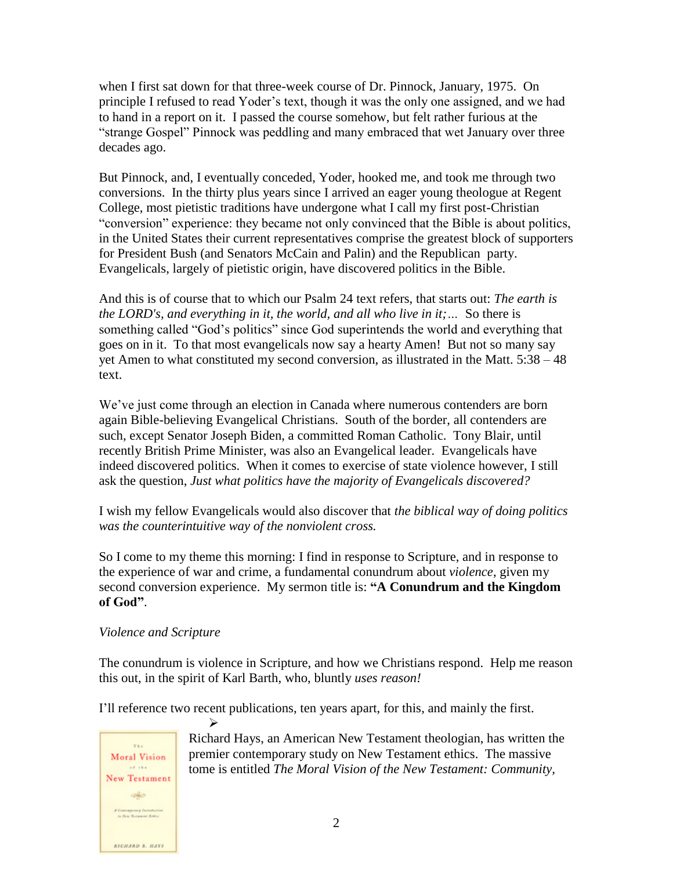when I first sat down for that three-week course of Dr. Pinnock, January, 1975. On principle I refused to read Yoder's text, though it was the only one assigned, and we had to hand in a report on it. I passed the course somehow, but felt rather furious at the "strange Gospel" Pinnock was peddling and many embraced that wet January over three decades ago.

But Pinnock, and, I eventually conceded, Yoder, hooked me, and took me through two conversions. In the thirty plus years since I arrived an eager young theologue at Regent College, most pietistic traditions have undergone what I call my first post-Christian "conversion" experience: they became not only convinced that the Bible is about politics, in the United States their current representatives comprise the greatest block of supporters for President Bush (and Senators McCain and Palin) and the Republican party. Evangelicals, largely of pietistic origin, have discovered politics in the Bible.

And this is of course that to which our Psalm 24 text refers, that starts out: *The earth is the LORD's, and everything in it, the world, and all who live in it;…* So there is something called "God's politics" since God superintends the world and everything that goes on in it. To that most evangelicals now say a hearty Amen! But not so many say yet Amen to what constituted my second conversion, as illustrated in the Matt. 5:38 – 48 text.

We've just come through an election in Canada where numerous contenders are born again Bible-believing Evangelical Christians. South of the border, all contenders are such, except Senator Joseph Biden, a committed Roman Catholic. Tony Blair, until recently British Prime Minister, was also an Evangelical leader. Evangelicals have indeed discovered politics. When it comes to exercise of state violence however, I still ask the question, *Just what politics have the majority of Evangelicals discovered?*

I wish my fellow Evangelicals would also discover that *the biblical way of doing politics was the counterintuitive way of the nonviolent cross.*

So I come to my theme this morning: I find in response to Scripture, and in response to the experience of war and crime, a fundamental conundrum about *violence*, given my second conversion experience. My sermon title is: **"A Conundrum and the Kingdom of God"**.

### *Violence and Scripture*

 $\blacktriangleright$ 

The conundrum is violence in Scripture, and how we Christians respond. Help me reason this out, in the spirit of Karl Barth, who, bluntly *uses reason!*

I'll reference two recent publications, ten years apart, for this, and mainly the first.



Richard Hays, an American New Testament theologian, has written the premier contemporary study on New Testament ethics. The massive tome is entitled *The Moral Vision of the New Testament: Community,*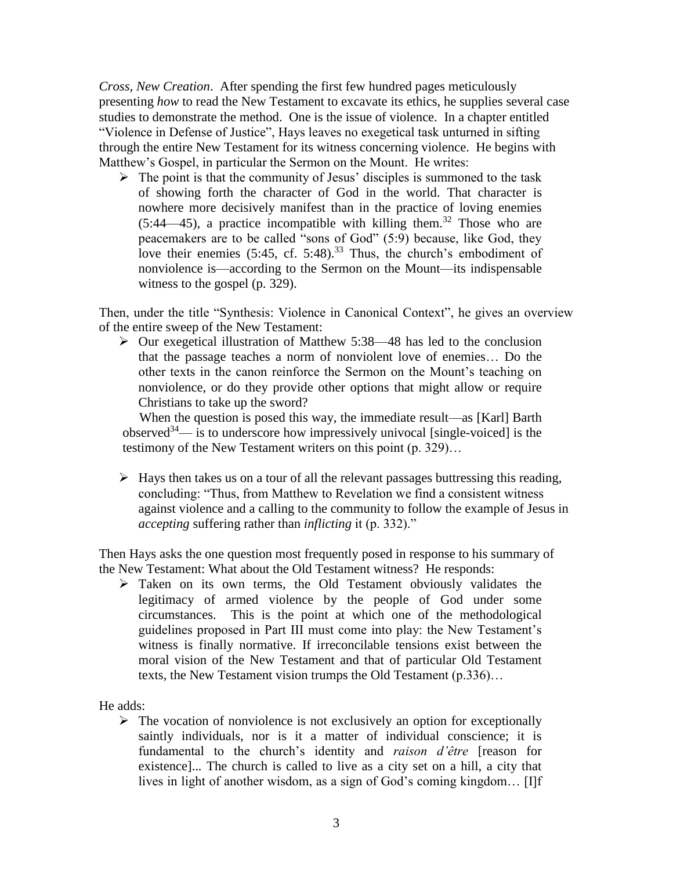*Cross, New Creation*. After spending the first few hundred pages meticulously presenting *how* to read the New Testament to excavate its ethics, he supplies several case studies to demonstrate the method. One is the issue of violence. In a chapter entitled "Violence in Defense of Justice", Hays leaves no exegetical task unturned in sifting through the entire New Testament for its witness concerning violence. He begins with Matthew's Gospel, in particular the Sermon on the Mount. He writes:

 $\triangleright$  The point is that the community of Jesus' disciples is summoned to the task of showing forth the character of God in the world. That character is nowhere more decisively manifest than in the practice of loving enemies  $(5:44-45)$ , a practice incompatible with killing them.<sup>32</sup> Those who are peacemakers are to be called "sons of God" (5:9) because, like God, they love their enemies  $(5:45, cf. 5:48).^{33}$  Thus, the church's embodiment of nonviolence is—according to the Sermon on the Mount—its indispensable witness to the gospel (p. 329).

Then, under the title "Synthesis: Violence in Canonical Context", he gives an overview of the entire sweep of the New Testament:

 $\triangleright$  Our exegetical illustration of Matthew 5:38—48 has led to the conclusion that the passage teaches a norm of nonviolent love of enemies… Do the other texts in the canon reinforce the Sermon on the Mount's teaching on nonviolence, or do they provide other options that might allow or require Christians to take up the sword?

When the question is posed this way, the immediate result—as [Karl] Barth observed<sup>34</sup>— is to underscore how impressively univocal [single-voiced] is the testimony of the New Testament writers on this point (p. 329)…

 $\triangleright$  Hays then takes us on a tour of all the relevant passages buttressing this reading, concluding: "Thus, from Matthew to Revelation we find a consistent witness against violence and a calling to the community to follow the example of Jesus in *accepting* suffering rather than *inflicting* it (p. 332)."

Then Hays asks the one question most frequently posed in response to his summary of the New Testament: What about the Old Testament witness? He responds:

 Taken on its own terms, the Old Testament obviously validates the legitimacy of armed violence by the people of God under some circumstances. This is the point at which one of the methodological guidelines proposed in Part III must come into play: the New Testament's witness is finally normative. If irreconcilable tensions exist between the moral vision of the New Testament and that of particular Old Testament texts, the New Testament vision trumps the Old Testament (p.336)…

He adds:

 $\triangleright$  The vocation of nonviolence is not exclusively an option for exceptionally saintly individuals, nor is it a matter of individual conscience; it is fundamental to the church's identity and *raison d'être* [reason for existence]..*.* The church is called to live as a city set on a hill, a city that lives in light of another wisdom, as a sign of God's coming kingdom… [I]f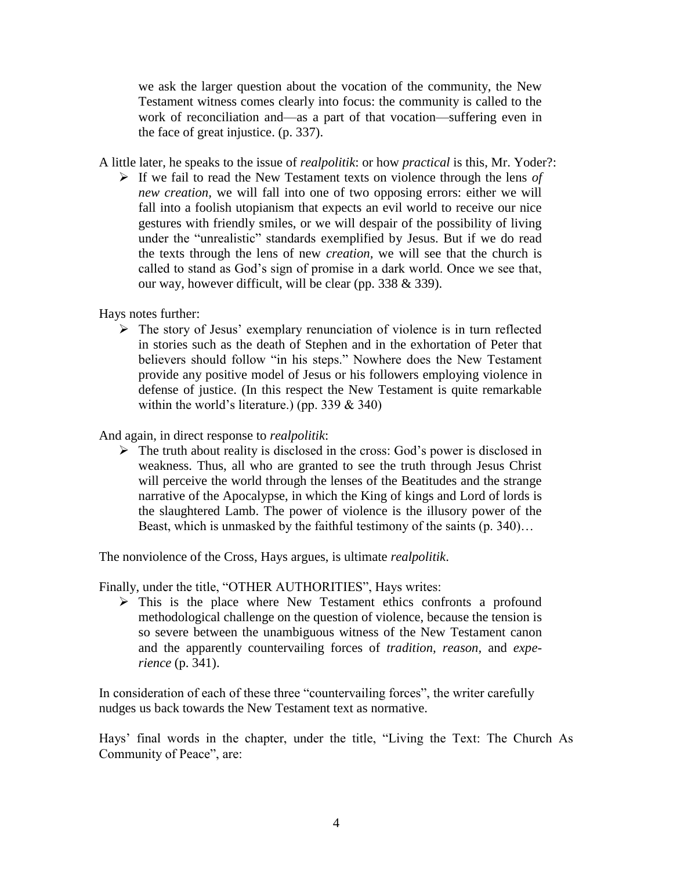we ask the larger question about the vocation of the community, the New Testament witness comes clearly into focus: the community is called to the work of reconciliation and—as a part of that vocation—suffering even in the face of great injustice. (p. 337).

- A little later, he speaks to the issue of *realpolitik*: or how *practical* is this, Mr. Yoder?:
	- $\triangleright$  If we fail to read the New Testament texts on violence through the lens *of new creation,* we will fall into one of two opposing errors: either we will fall into a foolish utopianism that expects an evil world to receive our nice gestures with friendly smiles, or we will despair of the possibility of living under the "unrealistic" standards exemplified by Jesus. But if we do read the texts through the lens of new *creation,* we will see that the church is called to stand as God's sign of promise in a dark world. Once we see that, our way, however difficult, will be clear (pp. 338 & 339).

Hays notes further:

 $\triangleright$  The story of Jesus' exemplary renunciation of violence is in turn reflected in stories such as the death of Stephen and in the exhortation of Peter that believers should follow "in his steps." Nowhere does the New Testament provide any positive model of Jesus or his followers employing violence in defense of justice. (In this respect the New Testament is quite remarkable within the world's literature.) (pp. 339  $& 340$ )

And again, in direct response to *realpolitik*:

 $\triangleright$  The truth about reality is disclosed in the cross: God's power is disclosed in weakness. Thus, all who are granted to see the truth through Jesus Christ will perceive the world through the lenses of the Beatitudes and the strange narrative of the Apocalypse, in which the King of kings and Lord of lords is the slaughtered Lamb. The power of violence is the illusory power of the Beast, which is unmasked by the faithful testimony of the saints (p. 340)…

The nonviolence of the Cross, Hays argues, is ultimate *realpolitik*.

Finally, under the title, "OTHER AUTHORITIES", Hays writes:

 $\triangleright$  This is the place where New Testament ethics confronts a profound methodological challenge on the question of violence, because the tension is so severe between the unambiguous witness of the New Testament canon and the apparently countervailing forces of *tradition, reason,* and *experience* (p. 341).

In consideration of each of these three "countervailing forces", the writer carefully nudges us back towards the New Testament text as normative.

Hays' final words in the chapter, under the title, "Living the Text: The Church As Community of Peace", are: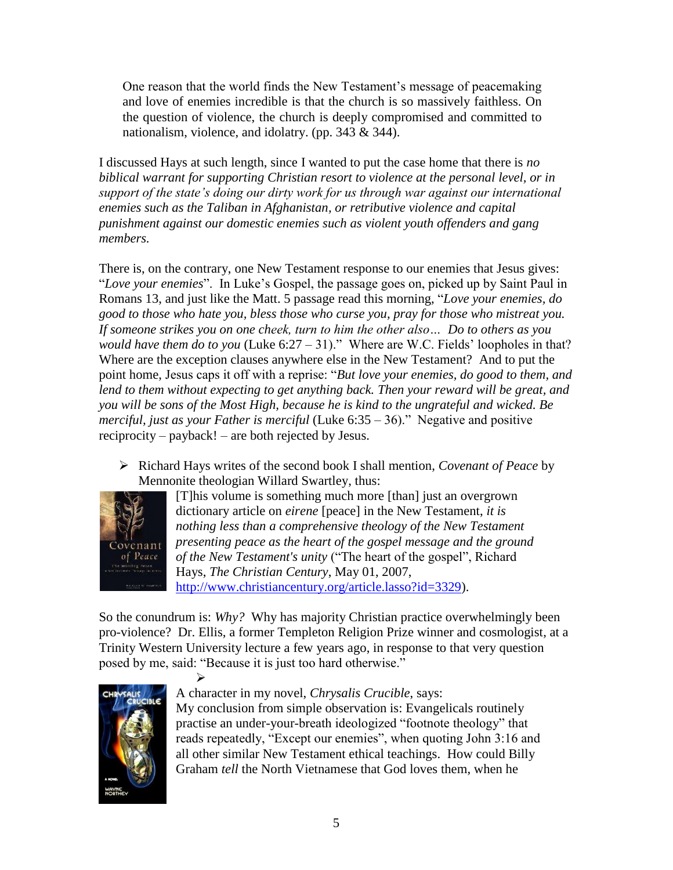One reason that the world finds the New Testament's message of peacemaking and love of enemies incredible is that the church is so massively faithless. On the question of violence, the church is deeply compromised and committed to nationalism, violence, and idolatry. (pp. 343 & 344).

I discussed Hays at such length, since I wanted to put the case home that there is *no biblical warrant for supporting Christian resort to violence at the personal level, or in support of the state's doing our dirty work for us through war against our international enemies such as the Taliban in Afghanistan, or retributive violence and capital punishment against our domestic enemies such as violent youth offenders and gang members.*

There is, on the contrary, one New Testament response to our enemies that Jesus gives: "*Love your enemies*". In Luke's Gospel, the passage goes on, picked up by Saint Paul in Romans 13, and just like the Matt. 5 passage read this morning, "*Love your enemies, do good to those who hate you, bless those who curse you, pray for those who mistreat you. If someone strikes you on one cheek, turn to him the other also… Do to others as you would have them do to you* (Luke 6:27 – 31)." Where are W.C. Fields' loopholes in that? Where are the exception clauses anywhere else in the New Testament? And to put the point home, Jesus caps it off with a reprise: "*But love your enemies, do good to them, and lend to them without expecting to get anything back. Then your reward will be great, and you will be sons of the Most High, because he is kind to the ungrateful and wicked. Be merciful, just as your Father is merciful* (Luke 6:35 – 36)." Negative and positive reciprocity – payback! – are both rejected by Jesus.

 Richard Hays writes of the second book I shall mention, *Covenant of Peace* by Mennonite theologian Willard Swartley, thus:



[T]his volume is something much more [than] just an overgrown dictionary article on *eirene* [peace] in the New Testament, *it is nothing less than a comprehensive theology of the New Testament presenting peace as the heart of the gospel message and the ground of the New Testament's unity* ("The heart of the gospel", Richard Hays, *The Christian Century*, May 01, 2007, [http://www.christiancentury.org/article.lasso?id=3329\)](http://www.christiancentury.org/article.lasso?id=3329).

So the conundrum is: *Why?* Why has majority Christian practice overwhelmingly been pro-violence? Dr. Ellis, a former Templeton Religion Prize winner and cosmologist, at a Trinity Western University lecture a few years ago, in response to that very question posed by me, said: "Because it is just too hard otherwise."



 $\blacktriangleright$ 

# A character in my novel, *Chrysalis Crucible*, says:

My conclusion from simple observation is: Evangelicals routinely practise an under-your-breath ideologized "footnote theology" that reads repeatedly, "Except our enemies", when quoting John 3:16 and all other similar New Testament ethical teachings. How could Billy Graham *tell* the North Vietnamese that God loves them, when he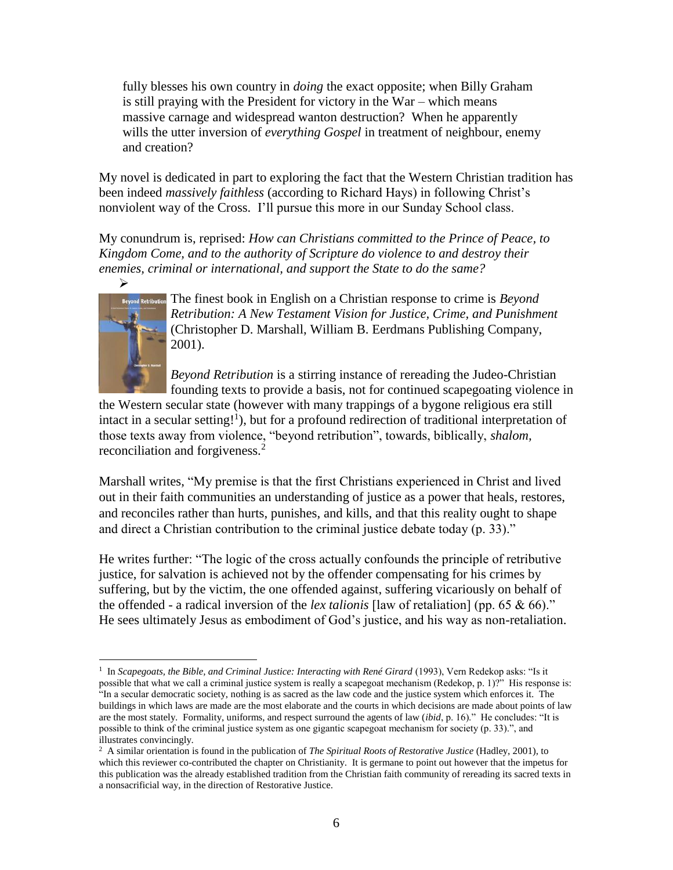fully blesses his own country in *doing* the exact opposite; when Billy Graham is still praying with the President for victory in the War – which means massive carnage and widespread wanton destruction? When he apparently wills the utter inversion of *everything Gospel* in treatment of neighbour, enemy and creation?

My novel is dedicated in part to exploring the fact that the Western Christian tradition has been indeed *massively faithless* (according to Richard Hays) in following Christ's nonviolent way of the Cross. I'll pursue this more in our Sunday School class.

My conundrum is, reprised: *How can Christians committed to the Prince of Peace, to Kingdom Come, and to the authority of Scripture do violence to and destroy their enemies, criminal or international, and support the State to do the same?* 



The finest book in English on a Christian response to crime is *Beyond Retribution: A New Testament Vision for Justice, Crime, and Punishment* (Christopher D. Marshall, William B. Eerdmans Publishing Company, 2001).

*Beyond Retribution* is a stirring instance of rereading the Judeo-Christian founding texts to provide a basis, not for continued scapegoating violence in

the Western secular state (however with many trappings of a bygone religious era still intact in a secular setting!<sup>1</sup>), but for a profound redirection of traditional interpretation of those texts away from violence, "beyond retribution", towards, biblically, *shalom,*  reconciliation and forgiveness.<sup>2</sup>

Marshall writes, "My premise is that the first Christians experienced in Christ and lived out in their faith communities an understanding of justice as a power that heals, restores, and reconciles rather than hurts, punishes, and kills, and that this reality ought to shape and direct a Christian contribution to the criminal justice debate today (p. 33)."

He writes further: "The logic of the cross actually confounds the principle of retributive justice, for salvation is achieved not by the offender compensating for his crimes by suffering, but by the victim, the one offended against, suffering vicariously on behalf of the offended - a radical inversion of the *lex talionis* [law of retaliation] (pp. 65 & 66)." He sees ultimately Jesus as embodiment of God's justice, and his way as non-retaliation.

 $\overline{a}$ <sup>1</sup> In *Scapegoats, the Bible, and Criminal Justice: Interacting with René Girard* (1993), Vern Redekop asks: "Is it possible that what we call a criminal justice system is really a scapegoat mechanism (Redekop, p. 1)?" His response is: "In a secular democratic society, nothing is as sacred as the law code and the justice system which enforces it. The buildings in which laws are made are the most elaborate and the courts in which decisions are made about points of law are the most stately. Formality, uniforms, and respect surround the agents of law (*ibid*, p. 16)." He concludes: "It is possible to think of the criminal justice system as one gigantic scapegoat mechanism for society (p. 33).", and illustrates convincingly.

<sup>2</sup> A similar orientation is found in the publication of *The Spiritual Roots of Restorative Justice* (Hadley, 2001), to which this reviewer co-contributed the chapter on Christianity. It is germane to point out however that the impetus for this publication was the already established tradition from the Christian faith community of rereading its sacred texts in a nonsacrificial way, in the direction of Restorative Justice.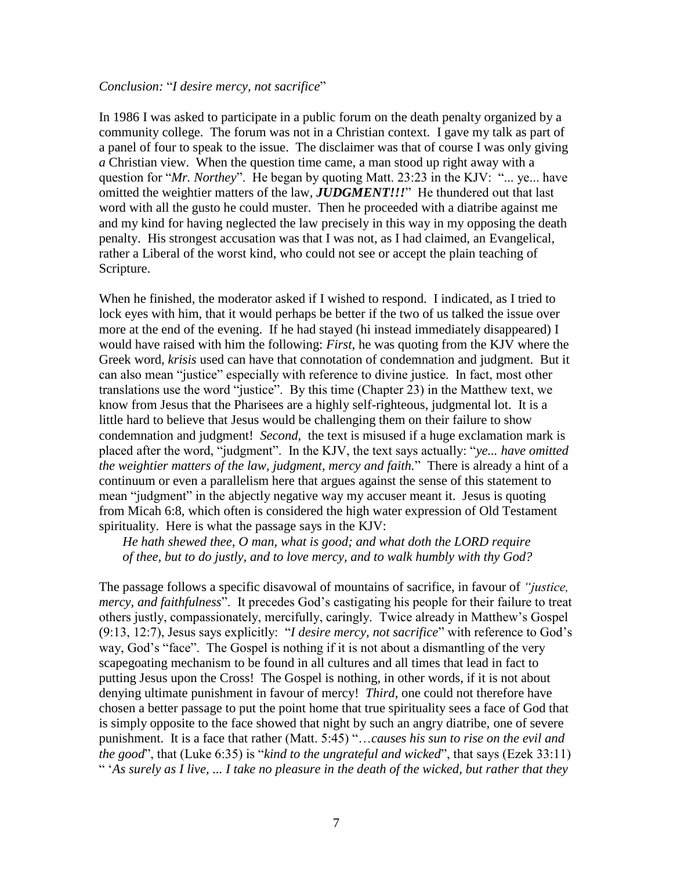#### *Conclusion:* "*I desire mercy, not sacrifice*"

In 1986 I was asked to participate in a public forum on the death penalty organized by a community college. The forum was not in a Christian context. I gave my talk as part of a panel of four to speak to the issue. The disclaimer was that of course I was only giving *a* Christian view. When the question time came, a man stood up right away with a question for "*Mr. Northey*". He began by quoting Matt. 23:23 in the KJV: "... ye... have omitted the weightier matters of the law, *JUDGMENT!!!*" He thundered out that last word with all the gusto he could muster. Then he proceeded with a diatribe against me and my kind for having neglected the law precisely in this way in my opposing the death penalty. His strongest accusation was that I was not, as I had claimed, an Evangelical, rather a Liberal of the worst kind, who could not see or accept the plain teaching of Scripture.

When he finished, the moderator asked if I wished to respond. I indicated, as I tried to lock eyes with him, that it would perhaps be better if the two of us talked the issue over more at the end of the evening. If he had stayed (hi instead immediately disappeared) I would have raised with him the following: *First*, he was quoting from the KJV where the Greek word, *krisis* used can have that connotation of condemnation and judgment. But it can also mean "justice" especially with reference to divine justice. In fact, most other translations use the word "justice". By this time (Chapter 23) in the Matthew text, we know from Jesus that the Pharisees are a highly self-righteous, judgmental lot. It is a little hard to believe that Jesus would be challenging them on their failure to show condemnation and judgment! *Second*, the text is misused if a huge exclamation mark is placed after the word, "judgment". In the KJV, the text says actually: "*ye... have omitted the weightier matters of the law, judgment, mercy and faith.*" There is already a hint of a continuum or even a parallelism here that argues against the sense of this statement to mean "judgment" in the abjectly negative way my accuser meant it. Jesus is quoting from Micah 6:8, which often is considered the high water expression of Old Testament spirituality. Here is what the passage says in the KJV:

*He hath shewed thee, O man, what is good; and what doth the LORD require of thee, but to do justly, and to love mercy, and to walk humbly with thy God?*

The passage follows a specific disavowal of mountains of sacrifice, in favour of *"justice, mercy, and faithfulness*". It precedes God's castigating his people for their failure to treat others justly, compassionately, mercifully, caringly. Twice already in Matthew's Gospel (9:13, 12:7), Jesus says explicitly: "*I desire mercy, not sacrifice*" with reference to God's way, God's "face". The Gospel is nothing if it is not about a dismantling of the very scapegoating mechanism to be found in all cultures and all times that lead in fact to putting Jesus upon the Cross! The Gospel is nothing, in other words, if it is not about denying ultimate punishment in favour of mercy! *Third*, one could not therefore have chosen a better passage to put the point home that true spirituality sees a face of God that is simply opposite to the face showed that night by such an angry diatribe, one of severe punishment. It is a face that rather (Matt. 5:45) "…*causes his sun to rise on the evil and the good*", that (Luke 6:35) is "*kind to the ungrateful and wicked*", that says (Ezek 33:11) " '*As surely as I live, ... I take no pleasure in the death of the wicked, but rather that they*